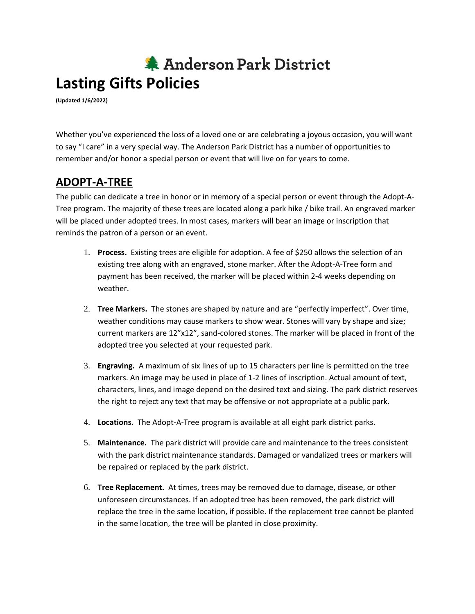## 集 Anderson Park District **Lasting Gifts Policies**

**(Updated 1/6/2022)**

Whether you've experienced the loss of a loved one or are celebrating a joyous occasion, you will want to say "I care" in a very special way. The Anderson Park District has a number of opportunities to remember and/or honor a special person or event that will live on for years to come.

## **ADOPT-A-TREE**

The public can dedicate a tree in honor or in memory of a special person or event through the Adopt-A-Tree program. The majority of these trees are located along a park hike / bike trail. An engraved marker will be placed under adopted trees. In most cases, markers will bear an image or inscription that reminds the patron of a person or an event.

- 1. **Process.** Existing trees are eligible for adoption. A fee of \$250 allows the selection of an existing tree along with an engraved, stone marker. After the Adopt-A-Tree form and payment has been received, the marker will be placed within 2-4 weeks depending on weather.
- 2. **Tree Markers.** The stones are shaped by nature and are "perfectly imperfect". Over time, weather conditions may cause markers to show wear. Stones will vary by shape and size; current markers are 12"x12", sand-colored stones. The marker will be placed in front of the adopted tree you selected at your requested park.
- 3. **Engraving.** A maximum of six lines of up to 15 characters per line is permitted on the tree markers. An image may be used in place of 1-2 lines of inscription. Actual amount of text, characters, lines, and image depend on the desired text and sizing. The park district reserves the right to reject any text that may be offensive or not appropriate at a public park.
- 4. **Locations.** The Adopt-A-Tree program is available at all eight park district parks.
- 5. **Maintenance.** The park district will provide care and maintenance to the trees consistent with the park district maintenance standards. Damaged or vandalized trees or markers will be repaired or replaced by the park district.
- 6. **Tree Replacement.** At times, trees may be removed due to damage, disease, or other unforeseen circumstances. If an adopted tree has been removed, the park district will replace the tree in the same location, if possible. If the replacement tree cannot be planted in the same location, the tree will be planted in close proximity.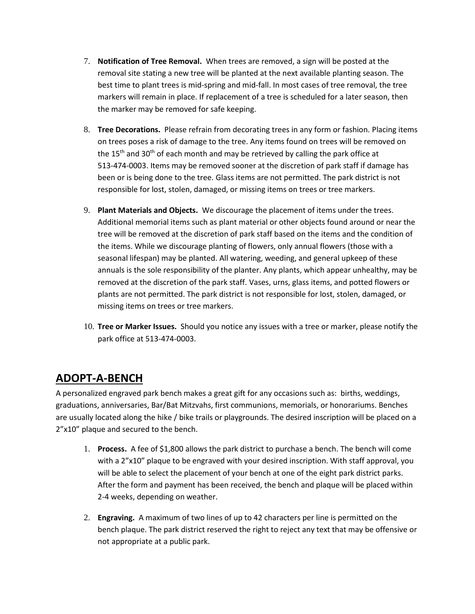- 7. **Notification of Tree Removal.** When trees are removed, a sign will be posted at the removal site stating a new tree will be planted at the next available planting season. The best time to plant trees is mid-spring and mid-fall. In most cases of tree removal, the tree markers will remain in place. If replacement of a tree is scheduled for a later season, then the marker may be removed for safe keeping.
- 8. **Tree Decorations.** Please refrain from decorating trees in any form or fashion. Placing items on trees poses a risk of damage to the tree. Any items found on trees will be removed on the  $15<sup>th</sup>$  and  $30<sup>th</sup>$  of each month and may be retrieved by calling the park office at 513-474-0003. Items may be removed sooner at the discretion of park staff if damage has been or is being done to the tree. Glass items are not permitted. The park district is not responsible for lost, stolen, damaged, or missing items on trees or tree markers.
- 9. **Plant Materials and Objects.** We discourage the placement of items under the trees. Additional memorial items such as plant material or other objects found around or near the tree will be removed at the discretion of park staff based on the items and the condition of the items. While we discourage planting of flowers, only annual flowers (those with a seasonal lifespan) may be planted. All watering, weeding, and general upkeep of these annuals is the sole responsibility of the planter. Any plants, which appear unhealthy, may be removed at the discretion of the park staff. Vases, urns, glass items, and potted flowers or plants are not permitted. The park district is not responsible for lost, stolen, damaged, or missing items on trees or tree markers.
- 10. **Tree or Marker Issues.** Should you notice any issues with a tree or marker, please notify the park office at 513-474-0003.

## **ADOPT-A-BENCH**

A personalized engraved park bench makes a great gift for any occasions such as: births, weddings, graduations, anniversaries, Bar/Bat Mitzvahs, first communions, memorials, or honorariums. Benches are usually located along the hike / bike trails or playgrounds. The desired inscription will be placed on a 2"x10" plaque and secured to the bench.

- 1. **Process.** A fee of \$1,800 allows the park district to purchase a bench. The bench will come with a 2"x10" plaque to be engraved with your desired inscription. With staff approval, you will be able to select the placement of your bench at one of the eight park district parks. After the form and payment has been received, the bench and plaque will be placed within 2-4 weeks, depending on weather.
- 2. **Engraving.** A maximum of two lines of up to 42 characters per line is permitted on the bench plaque. The park district reserved the right to reject any text that may be offensive or not appropriate at a public park.